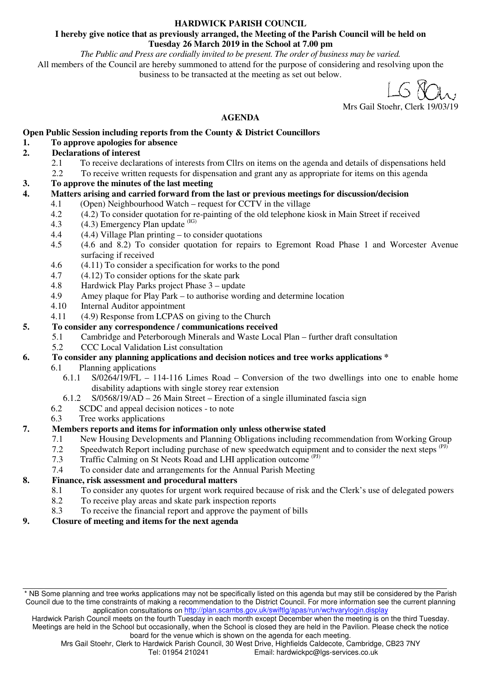#### **HARDWICK PARISH COUNCIL**

#### **I hereby give notice that as previously arranged, the Meeting of the Parish Council will be held on Tuesday 26 March 2019 in the School at 7.00 pm**

*The Public and Press are cordially invited to be present. The order of business may be varied.* 

All members of the Council are hereby summoned to attend for the purpose of considering and resolving upon the business to be transacted at the meeting as set out below.

Mrs Gail Stoehr, Clerk 19/03/19

#### **AGENDA**

#### **Open Public Session including reports from the County & District Councillors**

#### **1. To approve apologies for absence**

#### **2. Declarations of interest**

- 2.1 To receive declarations of interests from Cllrs on items on the agenda and details of dispensations held<br>2.2 To receive written requests for dispensation and grant any as appropriate for items on this agenda
- 2.2 To receive written requests for dispensation and grant any as appropriate for items on this agenda
- **3. To approve the minutes of the last meeting**
- **4. Matters arising and carried forward from the last or previous meetings for discussion/decision** 
	- 4.1 (Open) Neighbourhood Watch request for CCTV in the village
		- 4.2 (4.2) To consider quotation for re-painting of the old telephone kiosk in Main Street if received
		- 4.3  $(4.3)$  Emergency Plan update  $^{(IG)}$
		- 4.4 (4.4) Village Plan printing to consider quotations
		- 4.5 (4.6 and 8.2) To consider quotation for repairs to Egremont Road Phase 1 and Worcester Avenue surfacing if received
		- 4.6 (4.11) To consider a specification for works to the pond
		- 4.7 (4.12) To consider options for the skate park
		- 4.8 Hardwick Play Parks project Phase 3 update
		- 4.9 Amey plaque for Play Park to authorise wording and determine location
		- 4.10 Internal Auditor appointment
		- 4.11 (4.9) Response from LCPAS on giving to the Church

#### **5. To consider any correspondence / communications received**

- 5.1 Cambridge and Peterborough Minerals and Waste Local Plan further draft consultation
	- 5.2 CCC Local Validation List consultation

### **6. To consider any planning applications and decision notices and tree works applications \***

- 6.1 Planning applications
	- 6.1.1 S/0264/19/FL 114-116 Limes Road Conversion of the two dwellings into one to enable home disability adaptions with single storey rear extension
- 6.1.2 S/0568/19/AD 26 Main Street Erection of a single illuminated fascia sign  $6.2$  SCDC and appeal decision notices to note
- SCDC and appeal decision notices to note
- 6.3 Tree works applications

### **7. Members reports and items for information only unless otherwise stated**

- 7.1 New Housing Developments and Planning Obligations including recommendation from Working Group
- 7.2 Speedwatch Report including purchase of new speedwatch equipment and to consider the next steps (PJ)
- 7.3 Traffic Calming on St Neots Road and LHI application outcome (PJ)
- 7.4 To consider date and arrangements for the Annual Parish Meeting

### **8. Finance, risk assessment and procedural matters**

- 8.1 To consider any quotes for urgent work required because of risk and the Clerk's use of delegated powers
- 8.2 To receive play areas and skate park inspection reports
- 8.3 To receive the financial report and approve the payment of bills
- **9. Closure of meeting and items for the next agenda**

Hardwick Parish Council meets on the fourth Tuesday in each month except December when the meeting is on the third Tuesday. Meetings are held in the School but occasionally, when the School is closed they are held in the Pavilion. Please check the notice board for the venue which is shown on the agenda for each meeting.

<sup>\*</sup> NB Some planning and tree works applications may not be specifically listed on this agenda but may still be considered by the Parish Council due to the time constraints of making a recommendation to the District Council. For more information see the current planning application consultations on http://plan.scambs.gov.uk/swiftlg/apas/run/wchvarylogin.display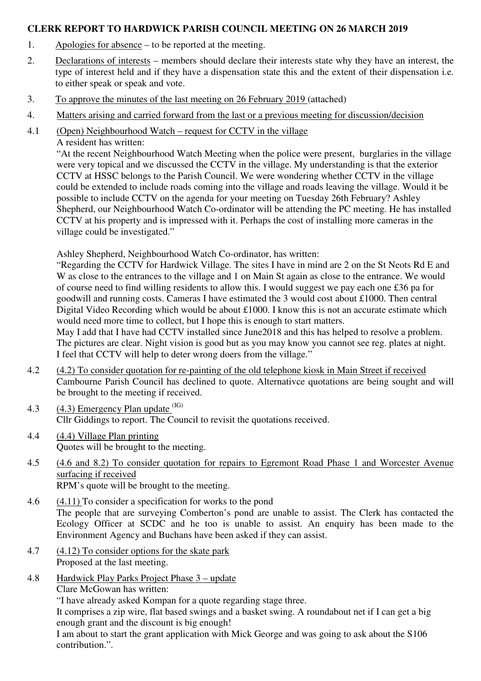## **CLERK REPORT TO HARDWICK PARISH COUNCIL MEETING ON 26 MARCH 2019**

- 1. Apologies for absence to be reported at the meeting.
- 2. Declarations of interests members should declare their interests state why they have an interest, the type of interest held and if they have a dispensation state this and the extent of their dispensation i.e. to either speak or speak and vote.
- 3. To approve the minutes of the last meeting on 26 February 2019 (attached)
- 4. Matters arising and carried forward from the last or a previous meeting for discussion/decision
- 4.1 (Open) Neighbourhood Watch request for CCTV in the village

A resident has written:

"At the recent Neighbourhood Watch Meeting when the police were present, burglaries in the village were very topical and we discussed the CCTV in the village. My understanding is that the exterior CCTV at HSSC belongs to the Parish Council. We were wondering whether CCTV in the village could be extended to include roads coming into the village and roads leaving the village. Would it be possible to include CCTV on the agenda for your meeting on Tuesday 26th February? Ashley Shepherd, our Neighbourhood Watch Co-ordinator will be attending the PC meeting. He has installed CCTV at his property and is impressed with it. Perhaps the cost of installing more cameras in the village could be investigated."

Ashley Shepherd, Neighbourhood Watch Co-ordinator, has written:

"Regarding the CCTV for Hardwick Village. The sites I have in mind are 2 on the St Neots Rd E and W as close to the entrances to the village and 1 on Main St again as close to the entrance. We would of course need to find willing residents to allow this. I would suggest we pay each one £36 pa for goodwill and running costs. Cameras I have estimated the 3 would cost about £1000. Then central Digital Video Recording which would be about £1000. I know this is not an accurate estimate which would need more time to collect, but I hope this is enough to start matters.

May I add that I have had CCTV installed since June2018 and this has helped to resolve a problem. The pictures are clear. Night vision is good but as you may know you cannot see reg. plates at night. I feel that CCTV will help to deter wrong doers from the village."

- 4.2 (4.2) To consider quotation for re-painting of the old telephone kiosk in Main Street if received Cambourne Parish Council has declined to quote. Alternativce quotations are being sought and will be brought to the meeting if received.
- 4.3  $(4.3)$  Emergency Plan update  $(B)$ Cllr Giddings to report. The Council to revisit the quotations received.
- 4.4 (4.4) Village Plan printing Quotes will be brought to the meeting.
- 4.5 (4.6 and 8.2) To consider quotation for repairs to Egremont Road Phase 1 and Worcester Avenue surfacing if received RPM's quote will be brought to the meeting.

4.6 (4.11) To consider a specification for works to the pond The people that are surveying Comberton's pond are unable to assist. The Clerk has contacted the Ecology Officer at SCDC and he too is unable to assist. An enquiry has been made to the Environment Agency and Buchans have been asked if they can assist.

- 4.7 (4.12) To consider options for the skate park Proposed at the last meeting.
- 4.8 Hardwick Play Parks Project Phase 3 update

Clare McGowan has written:

"I have already asked Kompan for a quote regarding stage three.

It comprises a zip wire, flat based swings and a basket swing. A roundabout net if I can get a big enough grant and the discount is big enough!

I am about to start the grant application with Mick George and was going to ask about the S106 contribution.".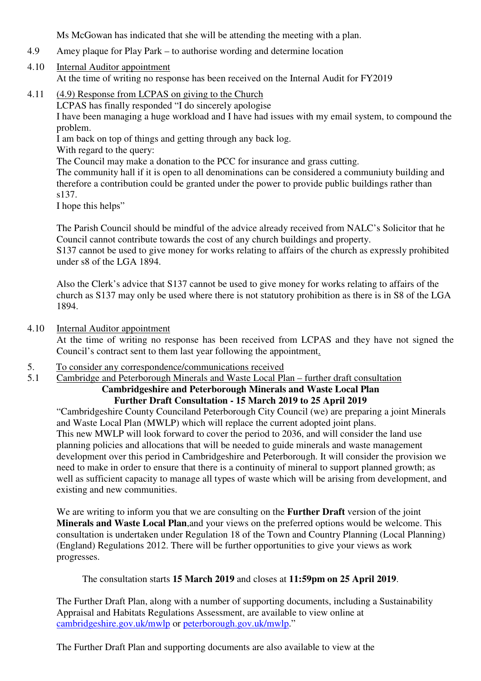Ms McGowan has indicated that she will be attending the meeting with a plan.

- 4.9 Amey plaque for Play Park to authorise wording and determine location
- 4.10 Internal Auditor appointment At the time of writing no response has been received on the Internal Audit for FY2019
- 4.11 (4.9) Response from LCPAS on giving to the Church LCPAS has finally responded "I do sincerely apologise I have been managing a huge workload and I have had issues with my email system, to compound the problem. I am back on top of things and getting through any back log. With regard to the query: The Council may make a donation to the PCC for insurance and grass cutting.

The community hall if it is open to all denominations can be considered a communiuty building and therefore a contribution could be granted under the power to provide public buildings rather than s137.

I hope this helps"

The Parish Council should be mindful of the advice already received from NALC's Solicitor that he Council cannot contribute towards the cost of any church buildings and property. S137 cannot be used to give money for works relating to affairs of the church as expressly prohibited under s8 of the LGA 1894.

Also the Clerk's advice that S137 cannot be used to give money for works relating to affairs of the church as S137 may only be used where there is not statutory prohibition as there is in S8 of the LGA 1894.

4.10 Internal Auditor appointment

At the time of writing no response has been received from LCPAS and they have not signed the Council's contract sent to them last year following the appointment.

- 5. To consider any correspondence/communications received
- 5.1 Cambridge and Peterborough Minerals and Waste Local Plan further draft consultation

#### **Cambridgeshire and Peterborough Minerals and Waste Local Plan Further Draft Consultation - 15 March 2019 to 25 April 2019**

"Cambridgeshire County Counciland Peterborough City Council (we) are preparing a joint Minerals and Waste Local Plan (MWLP) which will replace the current adopted joint plans. This new MWLP will look forward to cover the period to 2036, and will consider the land use planning policies and allocations that will be needed to guide minerals and waste management development over this period in Cambridgeshire and Peterborough. It will consider the provision we need to make in order to ensure that there is a continuity of mineral to support planned growth; as well as sufficient capacity to manage all types of waste which will be arising from development, and existing and new communities.

We are writing to inform you that we are consulting on the **Further Draft** version of the joint **Minerals and Waste Local Plan**,and your views on the preferred options would be welcome. This consultation is undertaken under Regulation 18 of the Town and Country Planning (Local Planning) (England) Regulations 2012. There will be further opportunities to give your views as work progresses.

The consultation starts **15 March 2019** and closes at **11:59pm on 25 April 2019**.

The Further Draft Plan, along with a number of supporting documents, including a Sustainability Appraisal and Habitats Regulations Assessment, are available to view online at cambridgeshire.gov.uk/mwlp or peterborough.gov.uk/mwlp."

The Further Draft Plan and supporting documents are also available to view at the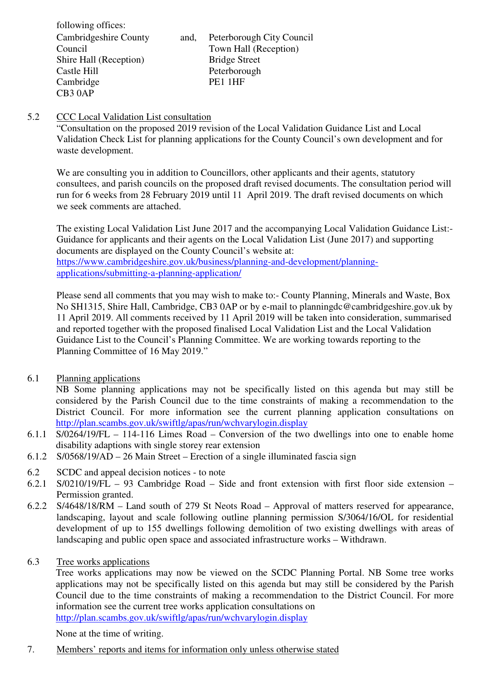following offices: Cambridgeshire County Council Shire Hall (Reception) Castle Hill Cambridge CB3 0AP

and, Peterborough City Council Town Hall (Reception) Bridge Street Peterborough PE1 1HF

## 5.2 CCC Local Validation List consultation

"Consultation on the proposed 2019 revision of the Local Validation Guidance List and Local Validation Check List for planning applications for the County Council's own development and for waste development.

We are consulting you in addition to Councillors, other applicants and their agents, statutory consultees, and parish councils on the proposed draft revised documents. The consultation period will run for 6 weeks from 28 February 2019 until 11 April 2019. The draft revised documents on which we seek comments are attached.

The existing Local Validation List June 2017 and the accompanying Local Validation Guidance List:- Guidance for applicants and their agents on the Local Validation List (June 2017) and supporting documents are displayed on the County Council's website at: https://www.cambridgeshire.gov.uk/business/planning-and-development/planningapplications/submitting-a-planning-application/

Please send all comments that you may wish to make to:- County Planning, Minerals and Waste, Box No SH1315, Shire Hall, Cambridge, CB3 0AP or by e-mail to planningdc@cambridgeshire.gov.uk by 11 April 2019. All comments received by 11 April 2019 will be taken into consideration, summarised and reported together with the proposed finalised Local Validation List and the Local Validation Guidance List to the Council's Planning Committee. We are working towards reporting to the Planning Committee of 16 May 2019."

6.1 Planning applications

NB Some planning applications may not be specifically listed on this agenda but may still be considered by the Parish Council due to the time constraints of making a recommendation to the District Council. For more information see the current planning application consultations on http://plan.scambs.gov.uk/swiftlg/apas/run/wchvarylogin.display

- 6.1.1 S/0264/19/FL 114-116 Limes Road Conversion of the two dwellings into one to enable home disability adaptions with single storey rear extension
- 6.1.2 S/0568/19/AD 26 Main Street Erection of a single illuminated fascia sign
- 6.2 SCDC and appeal decision notices to note
- 6.2.1 S/0210/19/FL 93 Cambridge Road Side and front extension with first floor side extension Permission granted.
- 6.2.2 S/4648/18/RM Land south of 279 St Neots Road Approval of matters reserved for appearance, landscaping, layout and scale following outline planning permission S/3064/16/OL for residential development of up to 155 dwellings following demolition of two existing dwellings with areas of landscaping and public open space and associated infrastructure works – Withdrawn.
- 6.3 Tree works applications

Tree works applications may now be viewed on the SCDC Planning Portal. NB Some tree works applications may not be specifically listed on this agenda but may still be considered by the Parish Council due to the time constraints of making a recommendation to the District Council. For more information see the current tree works application consultations on http://plan.scambs.gov.uk/swiftlg/apas/run/wchvarylogin.display

None at the time of writing.

7. Members' reports and items for information only unless otherwise stated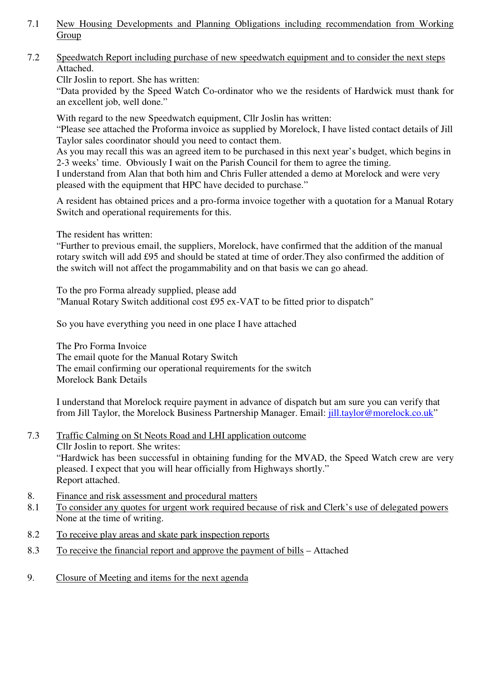- 7.1 New Housing Developments and Planning Obligations including recommendation from Working Group
- 7.2 Speedwatch Report including purchase of new speedwatch equipment and to consider the next steps Attached.

Cllr Joslin to report. She has written:

 "Data provided by the Speed Watch Co-ordinator who we the residents of Hardwick must thank for an excellent job, well done."

With regard to the new Speedwatch equipment, Cllr Joslin has written:

"Please see attached the Proforma invoice as supplied by Morelock, I have listed contact details of Jill Taylor sales coordinator should you need to contact them.

As you may recall this was an agreed item to be purchased in this next year's budget, which begins in 2-3 weeks' time. Obviously I wait on the Parish Council for them to agree the timing.

I understand from Alan that both him and Chris Fuller attended a demo at Morelock and were very pleased with the equipment that HPC have decided to purchase."

 A resident has obtained prices and a pro-forma invoice together with a quotation for a Manual Rotary Switch and operational requirements for this.

The resident has written:

"Further to previous email, the suppliers, Morelock, have confirmed that the addition of the manual rotary switch will add £95 and should be stated at time of order.They also confirmed the addition of the switch will not affect the progammability and on that basis we can go ahead.

To the pro Forma already supplied, please add "Manual Rotary Switch additional cost £95 ex-VAT to be fitted prior to dispatch"

So you have everything you need in one place I have attached

The Pro Forma Invoice The email quote for the Manual Rotary Switch The email confirming our operational requirements for the switch Morelock Bank Details

I understand that Morelock require payment in advance of dispatch but am sure you can verify that from Jill Taylor, the Morelock Business Partnership Manager. Email: jill.taylor@morelock.co.uk"

- 7.3 Traffic Calming on St Neots Road and LHI application outcome Cllr Joslin to report. She writes: "Hardwick has been successful in obtaining funding for the MVAD, the Speed Watch crew are very pleased. I expect that you will hear officially from Highways shortly." Report attached.
- 8. Finance and risk assessment and procedural matters
- 8.1 To consider any quotes for urgent work required because of risk and Clerk's use of delegated powers None at the time of writing.
- 8.2 To receive play areas and skate park inspection reports
- 8.3 To receive the financial report and approve the payment of bills Attached
- 9. Closure of Meeting and items for the next agenda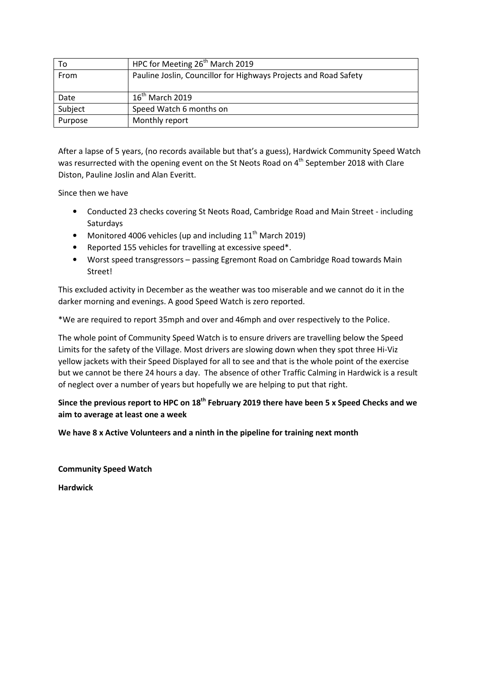| то      | HPC for Meeting 26 <sup>th</sup> March 2019                      |
|---------|------------------------------------------------------------------|
| From    | Pauline Joslin, Councillor for Highways Projects and Road Safety |
|         |                                                                  |
| Date    | $16^{\text{th}}$ March 2019                                      |
| Subject | Speed Watch 6 months on                                          |
| Purpose | Monthly report                                                   |

After a lapse of 5 years, (no records available but that's a guess), Hardwick Community Speed Watch was resurrected with the opening event on the St Neots Road on 4<sup>th</sup> September 2018 with Clare Diston, Pauline Joslin and Alan Everitt.

Since then we have

- Conducted 23 checks covering St Neots Road, Cambridge Road and Main Street including Saturdays
- Monitored 4006 vehicles (up and including  $11<sup>th</sup>$  March 2019)
- Reported 155 vehicles for travelling at excessive speed\*.
- Worst speed transgressors passing Egremont Road on Cambridge Road towards Main Street!

This excluded activity in December as the weather was too miserable and we cannot do it in the darker morning and evenings. A good Speed Watch is zero reported.

\*We are required to report 35mph and over and 46mph and over respectively to the Police.

The whole point of Community Speed Watch is to ensure drivers are travelling below the Speed Limits for the safety of the Village. Most drivers are slowing down when they spot three Hi-Viz yellow jackets with their Speed Displayed for all to see and that is the whole point of the exercise but we cannot be there 24 hours a day. The absence of other Traffic Calming in Hardwick is a result of neglect over a number of years but hopefully we are helping to put that right.

**Since the previous report to HPC on 18th February 2019 there have been 5 x Speed Checks and we aim to average at least one a week** 

**We have 8 x Active Volunteers and a ninth in the pipeline for training next month** 

**Community Speed Watch** 

**Hardwick**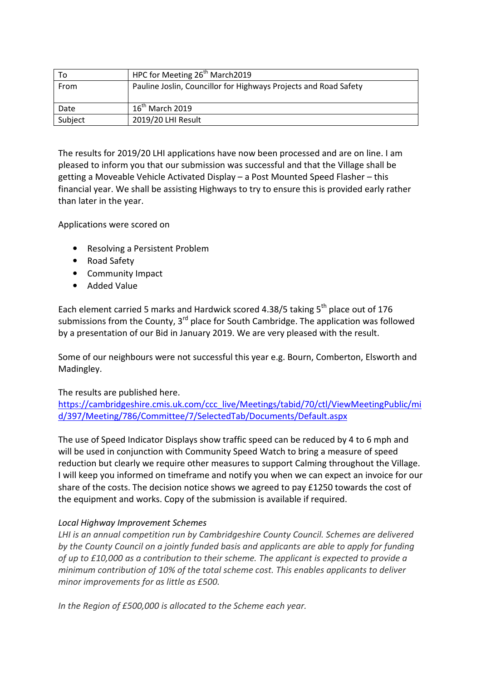| To      | HPC for Meeting 26 <sup>th</sup> March 2019                      |
|---------|------------------------------------------------------------------|
| From    | Pauline Joslin, Councillor for Highways Projects and Road Safety |
| Date    | $16^{\text{th}}$ March 2019                                      |
| Subject | 2019/20 LHI Result                                               |

The results for 2019/20 LHI applications have now been processed and are on line. I am pleased to inform you that our submission was successful and that the Village shall be getting a Moveable Vehicle Activated Display – a Post Mounted Speed Flasher – this financial year. We shall be assisting Highways to try to ensure this is provided early rather than later in the year.

Applications were scored on

- Resolving a Persistent Problem
- Road Safety
- Community Impact
- Added Value

Each element carried 5 marks and Hardwick scored 4.38/5 taking  $5<sup>th</sup>$  place out of 176 submissions from the County,  $3<sup>rd</sup>$  place for South Cambridge. The application was followed by a presentation of our Bid in January 2019. We are very pleased with the result.

Some of our neighbours were not successful this year e.g. Bourn, Comberton, Elsworth and Madingley.

### The results are published here.

https://cambridgeshire.cmis.uk.com/ccc\_live/Meetings/tabid/70/ctl/ViewMeetingPublic/mi d/397/Meeting/786/Committee/7/SelectedTab/Documents/Default.aspx

The use of Speed Indicator Displays show traffic speed can be reduced by 4 to 6 mph and will be used in conjunction with Community Speed Watch to bring a measure of speed reduction but clearly we require other measures to support Calming throughout the Village. I will keep you informed on timeframe and notify you when we can expect an invoice for our share of the costs. The decision notice shows we agreed to pay £1250 towards the cost of the equipment and works. Copy of the submission is available if required.

### *Local Highway Improvement Schemes*

*LHI is an annual competition run by Cambridgeshire County Council. Schemes are delivered by the County Council on a jointly funded basis and applicants are able to apply for funding of up to £10,000 as a contribution to their scheme. The applicant is expected to provide a minimum contribution of 10% of the total scheme cost. This enables applicants to deliver minor improvements for as little as £500.* 

*In the Region of £500,000 is allocated to the Scheme each year.*